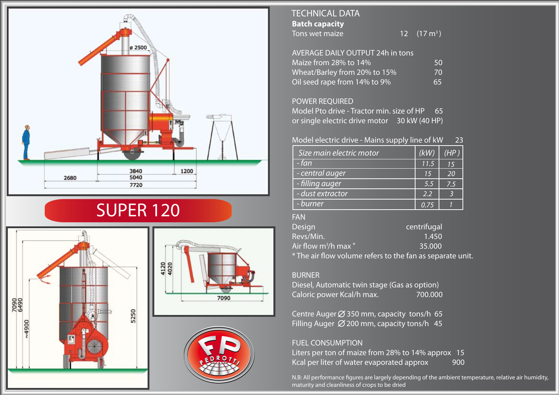

# SUPER 120







# **Batch capacity** Tons wet maize TECHNICAL DATA

12  $(17 \text{ m}^3)$ 

| <b>AVERAGE DAILY OUTPUT 24h in tons</b> |    |
|-----------------------------------------|----|
| Maize from 28% to 14%                   | 50 |
| Wheat/Barley from 20% to 15%            | 70 |
| Oil seed rape from 14% to 9%            | 65 |

# POWER REQUIRED

Model Pto drive - Tractor min. size of HP 65 or single electric drive motor 30 kW (40 HP)

# Model electric drive - Mains supply line of kW 23

| Size main electric motor | (kW) | (HP) |
|--------------------------|------|------|
| - fan                    | 11.5 | 15   |
| - central auger          | 15   | 20   |
| - filling auger          | 5.5  | 7.5  |
| - dust extractor         | 2.2  |      |
| - burner                 | 0.75 |      |

### FAN

| Design                     | centrifugal                                               |
|----------------------------|-----------------------------------------------------------|
| Revs/Min.                  | 1.450                                                     |
| Air flow $m^3$ /h max $^*$ | 35.000                                                    |
|                            | * The air flow volume refers to the fan as separate unit. |

### BURNER

Diesel, Automatic twin stage (Gas as option) Caloric power Kcal/h max. 700.000

Centre Auger  $\varnothing$  350 mm, capacity tons/h 65 Filling Auger  $\emptyset$  200 mm, capacity tons/h 45

### FUEL CONSUMPTION

Liters per ton of maize from 28% to 14% approx 15 Kcal per liter of water evaporated approx 900

N.B: All performance figures are largely depending of the ambient temperature, relative air humidity, maturity and cleanliness of crops to be dried